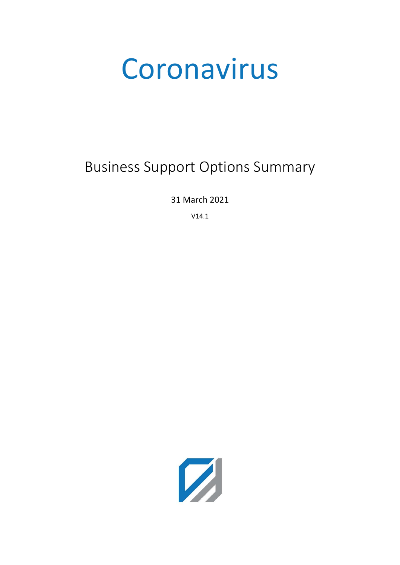# Coronavirus

# Business Support Options Summary

31 March 2021

V14.1

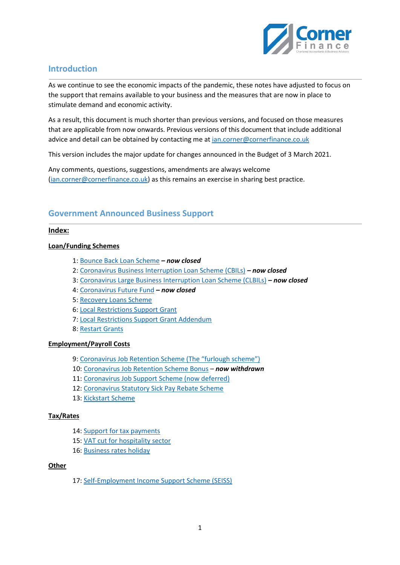

# **Introduction**

As we continue to see the economic impacts of the pandemic, these notes have adjusted to focus on the support that remains available to your business and the measures that are now in place to stimulate demand and economic activity.

As a result, this document is much shorter than previous versions, and focused on those measures that are applicable from now onwards. Previous versions of this document that include additional advice and detail can be obtained by contacting me a[t ian.corner@cornerfinance.co.uk](mailto:ian.corner@cornerfinance.co.uk)

This version includes the major update for changes announced in the Budget of 3 March 2021.

Any comments, questions, suggestions, amendments are always welcome [\(ian.corner@cornerfinance.co.uk\)](mailto:ian.corner@cornerfinance.co.uk) as this remains an exercise in sharing best practice.

# **Government Announced Business Support**

#### **Index:**

#### **Loan/Funding Schemes**

- 1: [Bounce Back Loan Scheme](#page-2-0) *– now closed*
- 2: [Coronavirus Business Interruption Loan Scheme \(CBILs\)](#page-2-1) *– now closed*
- 3: [Coronavirus Large Business Interruption Loan Scheme \(CLBILs\)](#page-2-2) *– now closed*
- 4: [Coronavirus Future Fund](#page-2-3) **–** *now closed*
- 5: [Recovery Loans Scheme](#page-2-4)
- 6: [Local Restrictions Support Grant](#page-2-5)
- 7: [Local Restrictions Support Grant Addendum](#page-2-6)
- 8: [Restart Grants](#page-3-0)

#### **Employment/Payroll Costs**

- 9: [Coronavirus Job Retention Schem](#page-3-1)e (The "furlough scheme")
- 10[: Coronavirus Job Retention Scheme Bonus](#page-5-0) *now withdrawn*
- 11[: Coronavirus Job Support Scheme \(now deferred\)](#page-5-1)
- 12[: Coronavirus Statutory Sick Pay Rebate Scheme](#page-5-2)
- 13[: Kickstart Scheme](#page-5-3)

#### **Tax/Rates**

- 14[: Support for tax payments](#page-6-0)
- 15[: VAT cut for hospitality sector](#page-6-1)
- 16[: Business rates holiday](#page-6-2)

#### **Other**

17[: Self-Employment Income Support Scheme \(SEISS\)](#page-7-0)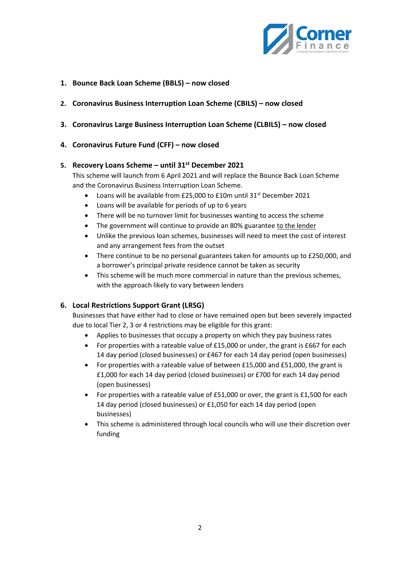

# <span id="page-2-0"></span>**1. Bounce Back Loan Scheme (BBLS) – now closed**

- <span id="page-2-2"></span><span id="page-2-1"></span>**2. Coronavirus Business Interruption Loan Scheme (CBILS) – now closed**
- **3. Coronavirus Large Business Interruption Loan Scheme (CLBILS) – now closed**

## <span id="page-2-3"></span>**4. Coronavirus Future Fund (CFF) – now closed**

## <span id="page-2-4"></span>**5. Recovery Loans Scheme – until 31st December 2021**

This scheme will launch from 6 April 2021 and will replace the Bounce Back Loan Scheme and the Coronavirus Business Interruption Loan Scheme.

- Loans will be available from £25,000 to £10m until 31<sup>st</sup> December 2021
- Loans will be available for periods of up to 6 years
- There will be no turnover limit for businesses wanting to access the scheme
- The government will continue to provide an 80% guarantee to the lender
- Unlike the previous loan schemes, businesses will need to meet the cost of interest and any arrangement fees from the outset
- There continue to be no personal guarantees taken for amounts up to £250,000, and a borrower's principal private residence cannot be taken as security
- This scheme will be much more commercial in nature than the previous schemes, with the approach likely to vary between lenders

## <span id="page-2-5"></span>**6. Local Restrictions Support Grant (LRSG)**

Businesses that have either had to close or have remained open but been severely impacted due to local Tier 2, 3 or 4 restrictions may be eligible for this grant:

- Applies to businesses that occupy a property on which they pay business rates
- For properties with a rateable value of £15,000 or under, the grant is £667 for each 14 day period (closed businesses) or £467 for each 14 day period (open businesses)
- For properties with a rateable value of between £15,000 and £51,000, the grant is £1,000 for each 14 day period (closed businesses) or £700 for each 14 day period (open businesses)
- For properties with a rateable value of £51,000 or over, the grant is £1,500 for each 14 day period (closed businesses) or £1,050 for each 14 day period (open businesses)
- <span id="page-2-6"></span>• This scheme is administered through local councils who will use their discretion over funding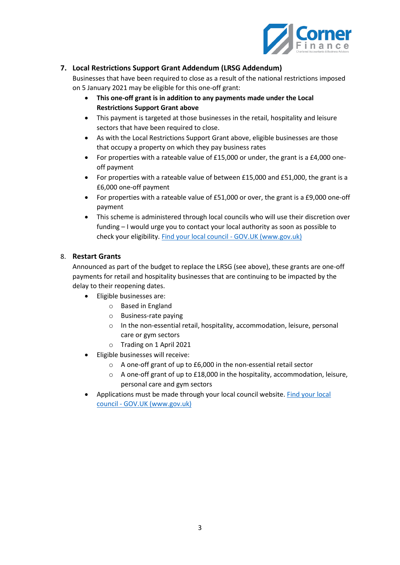

# **7. Local Restrictions Support Grant Addendum (LRSG Addendum)**

Businesses that have been required to close as a result of the national restrictions imposed on 5 January 2021 may be eligible for this one-off grant:

- **This one-off grant is in addition to any payments made under the Local Restrictions Support Grant above**
- This payment is targeted at those businesses in the retail, hospitality and leisure sectors that have been required to close.
- As with the Local Restrictions Support Grant above, eligible businesses are those that occupy a property on which they pay business rates
- For properties with a rateable value of £15,000 or under, the grant is a £4,000 oneoff payment
- For properties with a rateable value of between £15,000 and £51,000, the grant is a £6,000 one-off payment
- For properties with a rateable value of £51,000 or over, the grant is a £9,000 one-off payment
- This scheme is administered through local councils who will use their discretion over funding – I would urge you to contact your local authority as soon as possible to check your eligibility[. Find your local council -](https://www.gov.uk/find-local-council) GOV.UK (www.gov.uk)

## <span id="page-3-0"></span>8. **Restart Grants**

Announced as part of the budget to replace the LRSG (see above), these grants are one-off payments for retail and hospitality businesses that are continuing to be impacted by the delay to their reopening dates.

- Eligible businesses are:
	- o Based in England
	- o Business-rate paying
	- o In the non-essential retail, hospitality, accommodation, leisure, personal care or gym sectors
	- o Trading on 1 April 2021
- Eligible businesses will receive:
	- o A one-off grant of up to £6,000 in the non-essential retail sector
	- o A one-off grant of up to £18,000 in the hospitality, accommodation, leisure, personal care and gym sectors
- <span id="page-3-1"></span>• Applications must be made through your local council website. [Find your local](https://www.gov.uk/find-local-council)  council - [GOV.UK \(www.gov.uk\)](https://www.gov.uk/find-local-council)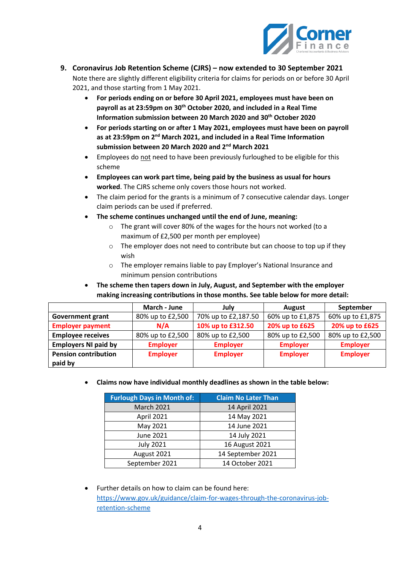

- **9. Coronavirus Job Retention Scheme (CJRS) – now extended to 30 September 2021** Note there are slightly different eligibility criteria for claims for periods on or before 30 April 2021, and those starting from 1 May 2021.
	- **For periods ending on or before 30 April 2021, employees must have been on payroll as at 23:59pm on 30th October 2020, and included in a Real Time Information submission between 20 March 2020 and 30th October 2020**
	- **For periods starting on or after 1 May 2021, employees must have been on payroll as at 23:59pm on 2nd March 2021, and included in a Real Time Information submission between 20 March 2020 and 2nd March 2021**
	- Employees do not need to have been previously furloughed to be eligible for this scheme
	- **Employees can work part time, being paid by the business as usual for hours worked**. The CJRS scheme only covers those hours not worked.
	- The claim period for the grants is a minimum of 7 consecutive calendar days. Longer claim periods can be used if preferred.
	- **The scheme continues unchanged until the end of June, meaning:**
		- o The grant will cover 80% of the wages for the hours not worked (to a maximum of £2,500 per month per employee)
		- $\circ$  The employer does not need to contribute but can choose to top up if they wish
		- o The employer remains liable to pay Employer's National Insurance and minimum pension contributions

# • **The scheme then tapers down in July, August, and September with the employer making increasing contributions in those months. See table below for more detail:**

|                             | March - June     | July                | <b>August</b>    | September        |
|-----------------------------|------------------|---------------------|------------------|------------------|
| <b>Government grant</b>     | 80% up to £2,500 | 70% up to £2,187.50 | 60% up to £1,875 | 60% up to £1,875 |
| <b>Employer payment</b>     | N/A              | 10% up to £312.50   | 20% up to £625   | 20% up to £625   |
| <b>Employee receives</b>    | 80% up to £2,500 | 80% up to £2,500    | 80% up to £2,500 | 80% up to £2,500 |
| <b>Employers NI paid by</b> | <b>Employer</b>  | <b>Employer</b>     | <b>Employer</b>  | <b>Employer</b>  |
| <b>Pension contribution</b> | <b>Employer</b>  | <b>Employer</b>     | <b>Employer</b>  | <b>Employer</b>  |
| paid by                     |                  |                     |                  |                  |

• **Claims now have individual monthly deadlines as shown in the table below:**

| <b>Furlough Days in Month of:</b> | <b>Claim No Later Than</b> |  |
|-----------------------------------|----------------------------|--|
| <b>March 2021</b>                 | 14 April 2021              |  |
| April 2021                        | 14 May 2021                |  |
| May 2021                          | 14 June 2021               |  |
| June 2021                         | 14 July 2021               |  |
| <b>July 2021</b>                  | 16 August 2021             |  |
| August 2021                       | 14 September 2021          |  |
| September 2021                    | 14 October 2021            |  |

• Further details on how to claim can be found here: [https://www.gov.uk/guidance/claim-for-wages-through-the-coronavirus-job](https://www.gov.uk/guidance/claim-for-wages-through-the-coronavirus-job-retention-scheme)[retention-scheme](https://www.gov.uk/guidance/claim-for-wages-through-the-coronavirus-job-retention-scheme)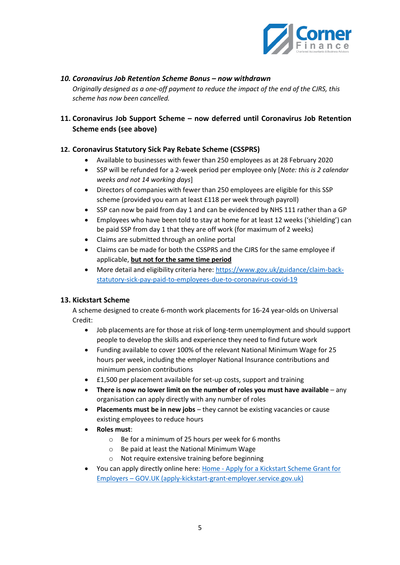

# <span id="page-5-0"></span>*10. Coronavirus Job Retention Scheme Bonus – now withdrawn*

*Originally designed as a one-off payment to reduce the impact of the end of the CJRS, this scheme has now been cancelled.*

# <span id="page-5-1"></span>**11. Coronavirus Job Support Scheme – now deferred until Coronavirus Job Retention Scheme ends (see above)**

# <span id="page-5-2"></span>**12. Coronavirus Statutory Sick Pay Rebate Scheme (CSSPRS)**

- Available to businesses with fewer than 250 employees as at 28 February 2020
- SSP will be refunded for a 2-week period per employee only [*Note: this is 2 calendar weeks and not 14 working days*]
- Directors of companies with fewer than 250 employees are eligible for this SSP scheme (provided you earn at least £118 per week through payroll)
- SSP can now be paid from day 1 and can be evidenced by NHS 111 rather than a GP
- Employees who have been told to stay at home for at least 12 weeks ('shielding') can be paid SSP from day 1 that they are off work (for maximum of 2 weeks)
- Claims are submitted through an online portal
- Claims can be made for both the CSSPRS and the CJRS for the same employee if applicable, **but not for the same time period**
- More detail and eligibility criteria here: [https://www.gov.uk/guidance/claim-back](https://www.gov.uk/guidance/claim-back-statutory-sick-pay-paid-to-employees-due-to-coronavirus-covid-19)[statutory-sick-pay-paid-to-employees-due-to-coronavirus-covid-19](https://www.gov.uk/guidance/claim-back-statutory-sick-pay-paid-to-employees-due-to-coronavirus-covid-19)

## <span id="page-5-3"></span>**13. Kickstart Scheme**

A scheme designed to create 6-month work placements for 16-24 year-olds on Universal Credit:

- Job placements are for those at risk of long-term unemployment and should support people to develop the skills and experience they need to find future work
- Funding available to cover 100% of the relevant National Minimum Wage for 25 hours per week, including the employer National Insurance contributions and minimum pension contributions
- £1,500 per placement available for set-up costs, support and training
- **There is now no lower limit on the number of roles you must have available** any organisation can apply directly with any number of roles
- **Placements must be in new jobs** they cannot be existing vacancies or cause existing employees to reduce hours
- **Roles must**:
	- o Be for a minimum of 25 hours per week for 6 months
	- o Be paid at least the National Minimum Wage
	- o Not require extensive training before beginning
- You can apply directly online here: Home [Apply for a Kickstart Scheme Grant for](https://www.apply-kickstart-grant-employer.service.gov.uk/)  Employers – [GOV.UK \(apply-kickstart-grant-employer.service.gov.uk\)](https://www.apply-kickstart-grant-employer.service.gov.uk/)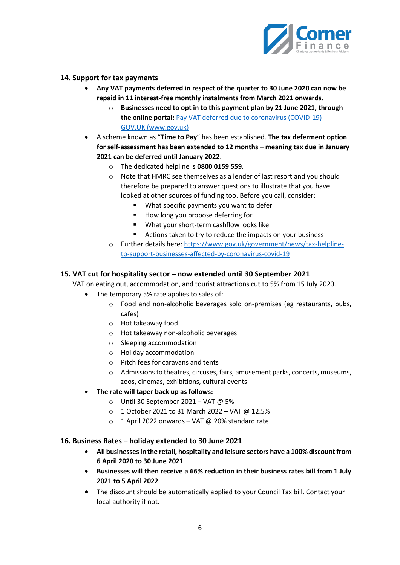

# <span id="page-6-0"></span>**14. Support for tax payments**

- **Any VAT payments deferred in respect of the quarter to 30 June 2020 can now be repaid in 11 interest-free monthly instalments from March 2021 onwards.**
	- o **Businesses need to opt in to this payment plan by 21 June 2021, through the online portal:** [Pay VAT deferred due to coronavirus \(COVID-19\) -](https://www.gov.uk/guidance/deferral-of-vat-payments-due-to-coronavirus-covid-19) [GOV.UK \(www.gov.uk\)](https://www.gov.uk/guidance/deferral-of-vat-payments-due-to-coronavirus-covid-19)
- A scheme known as "**Time to Pay**" has been established. **The tax deferment option for self-assessment has been extended to 12 months – meaning tax due in January 2021 can be deferred until January 2022**.
	- o The dedicated helpline is **0800 0159 559**.
	- o Note that HMRC see themselves as a lender of last resort and you should therefore be prepared to answer questions to illustrate that you have looked at other sources of funding too. Before you call, consider:
		- What specific payments you want to defer
		- How long you propose deferring for
		- What your short-term cashflow looks like
		- Actions taken to try to reduce the impacts on your business
	- o Further details here: [https://www.gov.uk/government/news/tax-helpline](https://www.gov.uk/government/news/tax-helpline-to-support-businesses-affected-by-coronavirus-covid-19)[to-support-businesses-affected-by-coronavirus-covid-19](https://www.gov.uk/government/news/tax-helpline-to-support-businesses-affected-by-coronavirus-covid-19)

#### <span id="page-6-1"></span>**15. VAT cut for hospitality sector – now extended until 30 September 2021**

VAT on eating out, accommodation, and tourist attractions cut to 5% from 15 July 2020.

- The temporary 5% rate applies to sales of:
	- o Food and non-alcoholic beverages sold on-premises (eg restaurants, pubs, cafes)
	- o Hot takeaway food
	- o Hot takeaway non-alcoholic beverages
	- o Sleeping accommodation
	- o Holiday accommodation
	- o Pitch fees for caravans and tents
	- o Admissions to theatres, circuses, fairs, amusement parks, concerts, museums, zoos, cinemas, exhibitions, cultural events
- **The rate will taper back up as follows:**
	- o Until 30 September 2021 VAT @ 5%
	- $\circ$  1 October 2021 to 31 March 2022 VAT @ 12.5%
	- $\circ$  1 April 2022 onwards VAT @ 20% standard rate

#### <span id="page-6-2"></span>**16. Business Rates – holiday extended to 30 June 2021**

- **All businesses in the retail, hospitality and leisure sectors have a 100% discount from 6 April 2020 to 30 June 2021**
- **Businesses will then receive a 66% reduction in their business rates bill from 1 July 2021 to 5 April 2022**
- The discount should be automatically applied to your Council Tax bill. Contact your local authority if not.